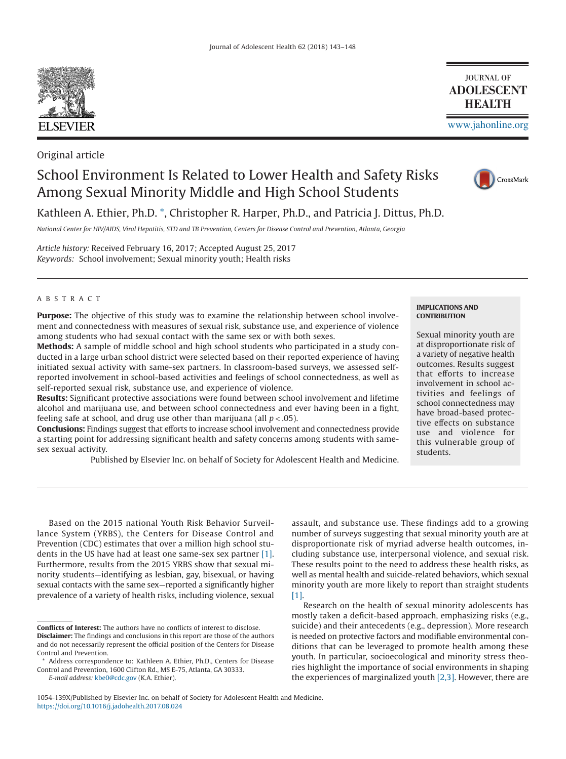

Original article

**JOURNAL OF ADOLESCENT HEALTH** 

[www.jahonline.org](http://www.jahonline.org)

## School Environment Is Related to Lower Health and Safety Risks Among Sexual Minority Middle and High School Students



Kathleen A. Ethier, Ph.D. [\\*,](#page-0-0) Christopher R. Harper, Ph.D., and Patricia J. Dittus, Ph.D.

*National Center for HIV/AIDS, Viral Hepatitis, STD and TB Prevention, Centers for Disease Control and Prevention, Atlanta, Georgia*

*Article history:* Received February 16, 2017; Accepted August 25, 2017 *Keywords:* School involvement; Sexual minority youth; Health risks

### ABSTRACT

**Purpose:** The objective of this study was to examine the relationship between school involvement and connectedness with measures of sexual risk, substance use, and experience of violence among students who had sexual contact with the same sex or with both sexes.

**Methods:** A sample of middle school and high school students who participated in a study conducted in a large urban school district were selected based on their reported experience of having initiated sexual activity with same-sex partners. In classroom-based surveys, we assessed selfreported involvement in school-based activities and feelings of school connectedness, as well as self-reported sexual risk, substance use, and experience of violence.

**Results:** Significant protective associations were found between school involvement and lifetime alcohol and marijuana use, and between school connectedness and ever having been in a fight, feeling safe at school, and drug use other than marijuana (all *p* < .05).

**Conclusions:** Findings suggest that efforts to increase school involvement and connectedness provide a starting point for addressing significant health and safety concerns among students with samesex sexual activity.

Published by Elsevier Inc. on behalf of Society for Adolescent Health and Medicine.

#### **IMPLICATIONS AND CONTRIBUTION**

Sexual minority youth are at disproportionate risk of a variety of negative health outcomes. Results suggest that efforts to increase involvement in school activities and feelings of school connectedness may have broad-based protective effects on substance use and violence for this vulnerable group of students.

Based on the 2015 national Youth Risk Behavior Surveillance System (YRBS), the Centers for Disease Control and Prevention (CDC) estimates that over a million high school students in the US have had at least one same-sex sex partner [\[1\].](#page--1-0) Furthermore, results from the 2015 YRBS show that sexual minority students—identifying as lesbian, gay, bisexual, or having sexual contacts with the same sex—reported a significantly higher prevalence of a variety of health risks, including violence, sexual

<span id="page-0-0"></span>\* Address correspondence to: Kathleen A. Ethier, Ph.D., Centers for Disease Control and Prevention, 1600 Clifton Rd., MS E-75, Atlanta, GA 30333.

*E-mail address:* [kbe0@cdc.gov](mailto:kbe0@cdc.gov) (K.A. Ethier).

assault, and substance use. These findings add to a growing number of surveys suggesting that sexual minority youth are at disproportionate risk of myriad adverse health outcomes, including substance use, interpersonal violence, and sexual risk. These results point to the need to address these health risks, as well as mental health and suicide-related behaviors, which sexual minority youth are more likely to report than straight students [\[1\].](#page--1-0)

Research on the health of sexual minority adolescents has mostly taken a deficit-based approach, emphasizing risks (e.g., suicide) and their antecedents (e.g., depression). More research is needed on protective factors and modifiable environmental conditions that can be leveraged to promote health among these youth. In particular, socioecological and minority stress theories highlight the importance of social environments in shaping the experiences of marginalized youth [\[2,3\].](#page--1-1) However, there are

1054-139X/Published by Elsevier Inc. on behalf of Society for Adolescent Health and Medicine. https://doi.org/10.1016/j.jadohealth.2017.08.024

**Conflicts of Interest:** The authors have no conflicts of interest to disclose. **Disclaimer:** The findings and conclusions in this report are those of the authors and do not necessarily represent the official position of the Centers for Disease Control and Prevention.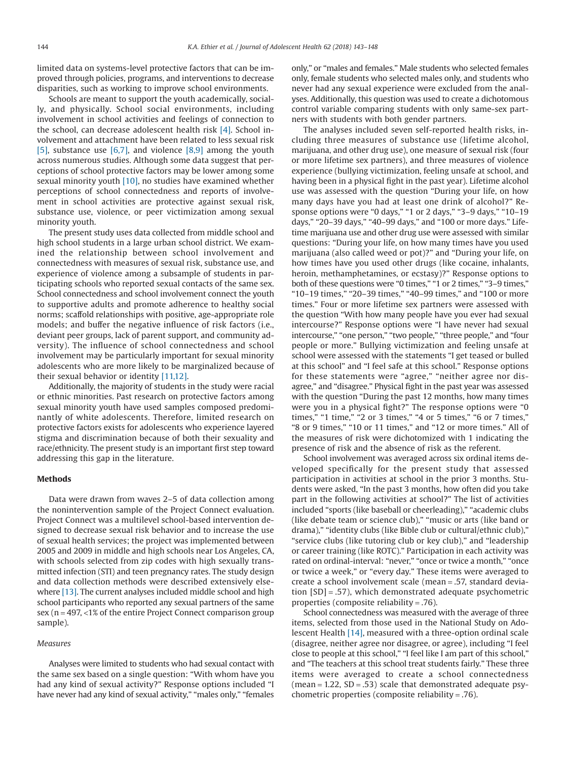limited data on systems-level protective factors that can be improved through policies, programs, and interventions to decrease disparities, such as working to improve school environments.

Schools are meant to support the youth academically, socially, and physically. School social environments, including involvement in school activities and feelings of connection to the school, can decrease adolescent health risk [\[4\].](#page--1-2) School involvement and attachment have been related to less sexual risk [\[5\],](#page--1-3) substance use [\[6,7\],](#page--1-4) and violence [\[8,9\]](#page--1-5) among the youth across numerous studies. Although some data suggest that perceptions of school protective factors may be lower among some sexual minority youth [\[10\],](#page--1-6) no studies have examined whether perceptions of school connectedness and reports of involvement in school activities are protective against sexual risk, substance use, violence, or peer victimization among sexual minority youth.

The present study uses data collected from middle school and high school students in a large urban school district. We examined the relationship between school involvement and connectedness with measures of sexual risk, substance use, and experience of violence among a subsample of students in participating schools who reported sexual contacts of the same sex. School connectedness and school involvement connect the youth to supportive adults and promote adherence to healthy social norms; scaffold relationships with positive, age-appropriate role models; and buffer the negative influence of risk factors (i.e., deviant peer groups, lack of parent support, and community adversity). The influence of school connectedness and school involvement may be particularly important for sexual minority adolescents who are more likely to be marginalized because of their sexual behavior or identity [\[11,12\].](#page--1-7)

Additionally, the majority of students in the study were racial or ethnic minorities. Past research on protective factors among sexual minority youth have used samples composed predominantly of white adolescents. Therefore, limited research on protective factors exists for adolescents who experience layered stigma and discrimination because of both their sexuality and race/ethnicity. The present study is an important first step toward addressing this gap in the literature.

#### **Methods**

Data were drawn from waves 2–5 of data collection among the nonintervention sample of the Project Connect evaluation. Project Connect was a multilevel school-based intervention designed to decrease sexual risk behavior and to increase the use of sexual health services; the project was implemented between 2005 and 2009 in middle and high schools near Los Angeles, CA, with schools selected from zip codes with high sexually transmitted infection (STI) and teen pregnancy rates. The study design and data collection methods were described extensively else-where [\[13\].](#page--1-8) The current analyses included middle school and high school participants who reported any sexual partners of the same sex (n = 497, <1% of the entire Project Connect comparison group sample).

#### *Measures*

Analyses were limited to students who had sexual contact with the same sex based on a single question: "With whom have you had any kind of sexual activity?" Response options included "I have never had any kind of sexual activity," "males only," "females

only," or "males and females." Male students who selected females only, female students who selected males only, and students who never had any sexual experience were excluded from the analyses. Additionally, this question was used to create a dichotomous control variable comparing students with only same-sex partners with students with both gender partners.

The analyses included seven self-reported health risks, including three measures of substance use (lifetime alcohol, marijuana, and other drug use), one measure of sexual risk (four or more lifetime sex partners), and three measures of violence experience (bullying victimization, feeling unsafe at school, and having been in a physical fight in the past year). Lifetime alcohol use was assessed with the question "During your life, on how many days have you had at least one drink of alcohol?" Response options were "0 days," "1 or 2 days," "3–9 days," "10–19 days," "20–39 days," "40–99 days," and "100 or more days." Lifetime marijuana use and other drug use were assessed with similar questions: "During your life, on how many times have you used marijuana (also called weed or pot)?" and "During your life, on how times have you used other drugs (like cocaine, inhalants, heroin, methamphetamines, or ecstasy)?" Response options to both of these questions were "0 times," "1 or 2 times," "3–9 times," "10–19 times," "20–39 times," "40–99 times," and "100 or more times." Four or more lifetime sex partners were assessed with the question "With how many people have you ever had sexual intercourse?" Response options were "I have never had sexual intercourse," "one person," "two people," "three people," and "four people or more." Bullying victimization and feeling unsafe at school were assessed with the statements "I get teased or bulled at this school" and "I feel safe at this school." Response options for these statements were "agree," "neither agree nor disagree," and "disagree." Physical fight in the past year was assessed with the question "During the past 12 months, how many times were you in a physical fight?" The response options were "0 times," "1 time," "2 or 3 times," "4 or 5 times," "6 or 7 times," "8 or 9 times," "10 or 11 times," and "12 or more times." All of the measures of risk were dichotomized with 1 indicating the presence of risk and the absence of risk as the referent.

School involvement was averaged across six ordinal items developed specifically for the present study that assessed participation in activities at school in the prior 3 months. Students were asked, "In the past 3 months, how often did you take part in the following activities at school?" The list of activities included "sports (like baseball or cheerleading)," "academic clubs (like debate team or science club)," "music or arts (like band or drama)," "identity clubs (like Bible club or cultural/ethnic club)," "service clubs (like tutoring club or key club)," and "leadership or career training (like ROTC)." Participation in each activity was rated on ordinal-interval: "never," "once or twice a month," "once or twice a week," or "every day." These items were averaged to create a school involvement scale (mean = .57, standard deviation [SD] = .57), which demonstrated adequate psychometric properties (composite reliability = .76).

School connectedness was measured with the average of three items, selected from those used in the National Study on Adolescent Health [\[14\],](#page--1-9) measured with a three-option ordinal scale (disagree, neither agree nor disagree, or agree), including "I feel close to people at this school," "I feel like I am part of this school," and "The teachers at this school treat students fairly." These three items were averaged to create a school connectedness  $(mean = 1.22, SD = .53)$  scale that demonstrated adequate psychometric properties (composite reliability = .76).